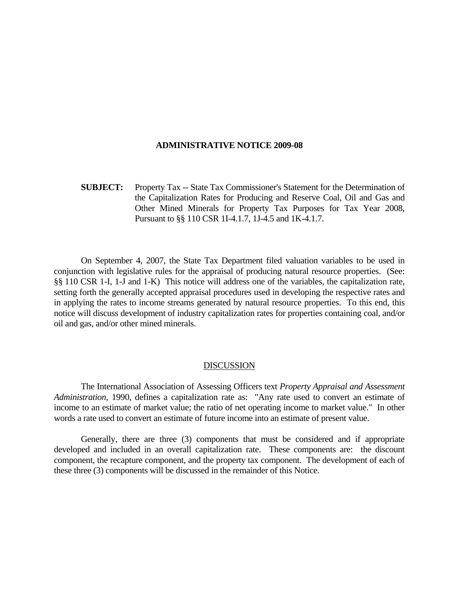### **ADMINISTRATIVE NOTICE 2009-08**

**SUBJECT:** Property Tax -- State Tax Commissioner's Statement for the Determination of the Capitalization Rates for Producing and Reserve Coal, Oil and Gas and Other Mined Minerals for Property Tax Purposes for Tax Year 2008, Pursuant to §§ 110 CSR 1I-4.1.7, 1J-4.5 and 1K-4.1.7.

 On September 4, 2007, the State Tax Department filed valuation variables to be used in conjunction with legislative rules for the appraisal of producing natural resource properties. (See: §§ 110 CSR 1-I, 1-J and 1-K) This notice will address one of the variables, the capitalization rate, setting forth the generally accepted appraisal procedures used in developing the respective rates and in applying the rates to income streams generated by natural resource properties. To this end, this notice will discuss development of industry capitalization rates for properties containing coal, and/or oil and gas, and/or other mined minerals.

### DISCUSSION

 The International Association of Assessing Officers text *Property Appraisal and Assessment Administration*, 1990, defines a capitalization rate as: "Any rate used to convert an estimate of income to an estimate of market value; the ratio of net operating income to market value." In other words a rate used to convert an estimate of future income into an estimate of present value.

 Generally, there are three (3) components that must be considered and if appropriate developed and included in an overall capitalization rate. These components are: the discount component, the recapture component, and the property tax component. The development of each of these three (3) components will be discussed in the remainder of this Notice.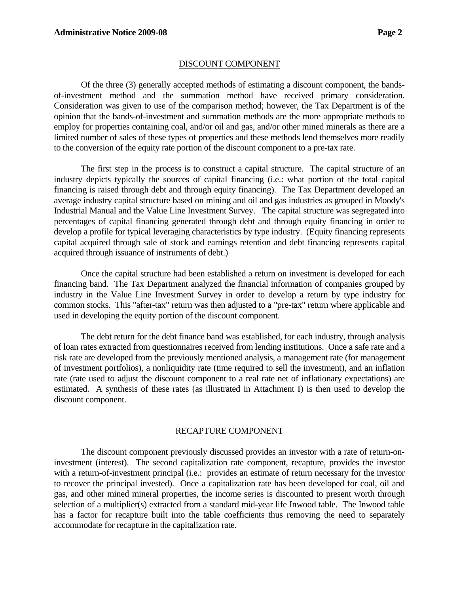# DISCOUNT COMPONENT

 Of the three (3) generally accepted methods of estimating a discount component, the bandsof-investment method and the summation method have received primary consideration. Consideration was given to use of the comparison method; however, the Tax Department is of the opinion that the bands-of-investment and summation methods are the more appropriate methods to employ for properties containing coal, and/or oil and gas, and/or other mined minerals as there are a limited number of sales of these types of properties and these methods lend themselves more readily to the conversion of the equity rate portion of the discount component to a pre-tax rate.

 The first step in the process is to construct a capital structure. The capital structure of an industry depicts typically the sources of capital financing (i.e.: what portion of the total capital financing is raised through debt and through equity financing). The Tax Department developed an average industry capital structure based on mining and oil and gas industries as grouped in Moody's Industrial Manual and the Value Line Investment Survey. The capital structure was segregated into percentages of capital financing generated through debt and through equity financing in order to develop a profile for typical leveraging characteristics by type industry. (Equity financing represents capital acquired through sale of stock and earnings retention and debt financing represents capital acquired through issuance of instruments of debt.)

 Once the capital structure had been established a return on investment is developed for each financing band. The Tax Department analyzed the financial information of companies grouped by industry in the Value Line Investment Survey in order to develop a return by type industry for common stocks. This "after-tax" return was then adjusted to a "pre-tax" return where applicable and used in developing the equity portion of the discount component.

 The debt return for the debt finance band was established, for each industry, through analysis of loan rates extracted from questionnaires received from lending institutions. Once a safe rate and a risk rate are developed from the previously mentioned analysis, a management rate (for management of investment portfolios), a nonliquidity rate (time required to sell the investment), and an inflation rate (rate used to adjust the discount component to a real rate net of inflationary expectations) are estimated. A synthesis of these rates (as illustrated in Attachment I) is then used to develop the discount component.

### RECAPTURE COMPONENT

 The discount component previously discussed provides an investor with a rate of return-oninvestment (interest). The second capitalization rate component, recapture, provides the investor with a return-of-investment principal (i.e.: provides an estimate of return necessary for the investor to recover the principal invested). Once a capitalization rate has been developed for coal, oil and gas, and other mined mineral properties, the income series is discounted to present worth through selection of a multiplier(s) extracted from a standard mid-year life Inwood table. The Inwood table has a factor for recapture built into the table coefficients thus removing the need to separately accommodate for recapture in the capitalization rate.